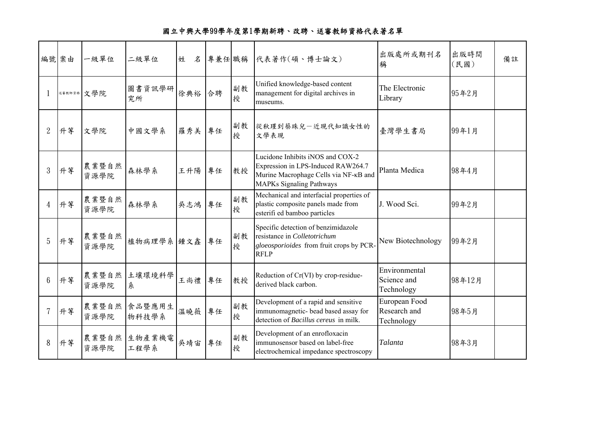|                 | 編號 案由 | 一級單位          | 二級單位            | 姓<br>名 |    |         | 專兼任 職稱 代表著作(碩、博士論文)                                                                                                                                | 出版處所或期刊名<br>稱                               | 出版時間<br>(民國) | 備註 |
|-----------------|-------|---------------|-----------------|--------|----|---------|----------------------------------------------------------------------------------------------------------------------------------------------------|---------------------------------------------|--------------|----|
|                 |       | 送赛教師資格 文學院    | 圖書資訊學研<br>究所    | 徐典裕    | 合聘 | 副教<br>授 | Unified knowledge-based content<br>management for digital archives in<br>museums.                                                                  | The Electronic<br>Library                   | 95年2月        |    |
| $\overline{2}$  | 升等    | 文學院           | 中國文學系           | 羅秀美    | 專任 | 副教<br>授 | 從秋瑾到蔡珠兒一近現代知識女性的<br>文學表現                                                                                                                           | 臺灣學生書局                                      | 99年1月        |    |
| 3               | 升等    | 農業暨自然<br>資源學院 | 森林學系            | 王升陽    | 專任 | 教授      | Lucidone Inhibits iNOS and COX-2<br>Expression in LPS-Induced RAW264.7<br>Murine Macrophage Cells via NF-KB and<br><b>MAPKs Signaling Pathways</b> | Planta Medica                               | 98年4月        |    |
| 4               | 升等    | 農業暨自然<br>資源學院 | 森林學系            | 吳志鴻    | 專任 | 副教<br>授 | Mechanical and interfacial properties of<br>plastic composite panels made from<br>esterifi ed bamboo particles                                     | J. Wood Sci.                                | 99年2月        |    |
| 5               | 升等    | 農業暨自然<br>資源學院 | 植物病理學系 鍾文鑫      |        | 專任 | 副教<br>授 | Specific detection of benzimidazole<br>resistance in Colletotrichum<br>gloeosporioides from fruit crops by PCR-<br><b>RFLP</b>                     | New Biotechnology                           | 99年2月        |    |
| $6\phantom{1}6$ | 升等    | 農業暨自然<br>資源學院 | 土壤環境科學<br>糸     | 王尚禮    | 專任 | 教授      | Reduction of Cr(VI) by crop-residue-<br>derived black carbon.                                                                                      | Environmental<br>Science and<br>Technology  | 98年12月       |    |
|                 | 升等    | 農業暨自然<br>資源學院 | 食品暨應用生<br>物科技學系 | 溫曉薇    | 專任 | 副教<br>授 | Development of a rapid and sensitive<br>immunomagnetic- bead based assay for<br>detection of Bacillus cereus in milk.                              | European Food<br>Research and<br>Technology | 98年5月        |    |
| 8               | 升等    | 農業暨自然<br>資源學院 | 生物產業機電<br>工程學系  | 吳靖宙    | 專任 | 副教<br>授 | Development of an enrofloxacin<br>immunosensor based on label-free<br>electrochemical impedance spectroscopy                                       | Talanta                                     | 98年3月        |    |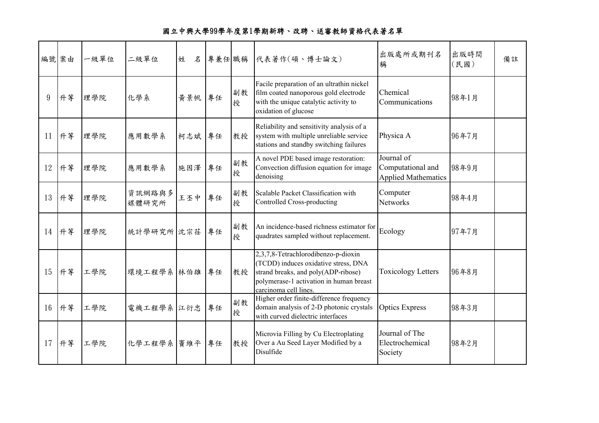| 編號案由 |       | 一級單位 | 二級單位            | 姓<br>名 |    |         | 專兼任 職稱 代表著作(碩、博士論文)                                                                                                                                                                    | 出版處所或期刊名<br>稱                                                 | 出版時間<br>(民國) | 備註 |
|------|-------|------|-----------------|--------|----|---------|----------------------------------------------------------------------------------------------------------------------------------------------------------------------------------------|---------------------------------------------------------------|--------------|----|
| 9    | 升等    | 理學院  | 化學系             | 黃景帆 專任 |    | 副教<br>授 | Facile preparation of an ultrathin nickel<br>film coated nanoporous gold electrode<br>with the unique catalytic activity to<br>oxidation of glucose                                    | Chemical<br>Communications                                    | 98年1月        |    |
|      | 11 升等 | 理學院  | 應用數學系           | 柯志斌 專任 |    | 教授      | Reliability and sensitivity analysis of a<br>system with multiple unreliable service<br>stations and standby switching failures                                                        | Physica A                                                     | 96年7月        |    |
|      | 12 升等 | 理學院  | 應用數學系           | 施因澤    | 專任 | 副教<br>授 | A novel PDE based image restoration:<br>Convection diffusion equation for image<br>denoising                                                                                           | Journal of<br>Computational and<br><b>Applied Mathematics</b> | 98年9月        |    |
|      | 13 升等 | 理學院  | 資訊網路與多<br>媒體研究所 | 王丕中    | 專任 | 副教<br>授 | Scalable Packet Classification with<br>Controlled Cross-producting                                                                                                                     | Computer<br><b>Networks</b>                                   | 98年4月        |    |
|      | 14 升等 | 理學院  | 統計學研究所 沈宗荏      |        | 專任 | 副教<br>授 | An incidence-based richness estimator for<br>quadrates sampled without replacement.                                                                                                    | Ecology                                                       | 97年7月        |    |
|      | 15 升等 | 工學院  | 環境工程學系 林伯雄      |        | 專任 | 教授      | 2,3,7,8-Tetrachlorodibenzo-p-dioxin<br>(TCDD) induces oxidative stress, DNA<br>strand breaks, and poly(ADP-ribose)<br>polymerase-1 activation in human breast<br>carcinoma cell lines. | <b>Toxicology Letters</b>                                     | 96年8月        |    |
|      | 16 升等 | 工學院  | 電機工程學系 江衍忠      |        | 專任 | 副教<br>授 | Higher order finite-difference frequency<br>domain analysis of 2-D photonic crystals<br>with curved dielectric interfaces                                                              | <b>Optics Express</b>                                         | 98年3月        |    |
|      | 17 升等 | 工學院  | 化學工程學系 竇維平      |        | 專任 | 教授      | Microvia Filling by Cu Electroplating<br>Over a Au Seed Layer Modified by a<br>Disulfide                                                                                               | Journal of The<br>Electrochemical<br>Society                  | 98年2月        |    |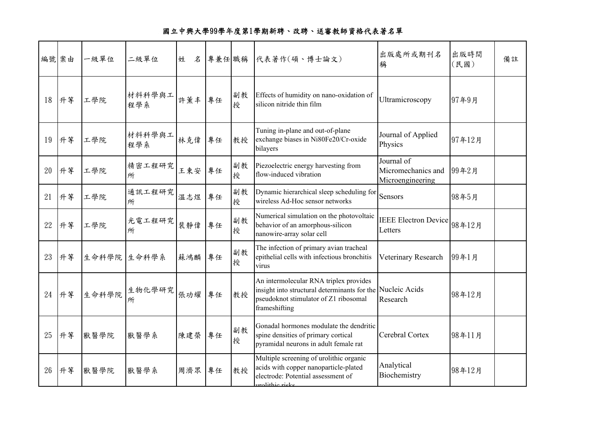|    | 編號案由  | 一級單位  | 二級單位          | 姓<br>名 | 專兼任職稱 |         | 代表著作(碩、博士論文)                                                                                                                                                   | 出版處所或期刊名<br>稱                                        | 出版時間<br>(民國) | 備註 |
|----|-------|-------|---------------|--------|-------|---------|----------------------------------------------------------------------------------------------------------------------------------------------------------------|------------------------------------------------------|--------------|----|
| 18 | 升等    | 工學院   | 材料科學與工<br>程學系 | 許薰丰    | 專任    | 副教<br>授 | Effects of humidity on nano-oxidation of<br>silicon nitride thin film                                                                                          | Ultramicroscopy                                      | 97年9月        |    |
| 19 | 升等    | 工學院   | 材料科學與工<br>程學系 | 林克偉    | 專任    | 教授      | Tuning in-plane and out-of-plane<br>exchange biases in Ni80Fe20/Cr-oxide<br>bilayers                                                                           | Journal of Applied<br>Physics                        | 97年12月       |    |
| 20 | 升等    | 工學院   | 精密工程研究<br>所   | 王東安    | 專任    | 副教<br>授 | Piezoelectric energy harvesting from<br>flow-induced vibration                                                                                                 | Journal of<br>Micromechanics and<br>Microengineering | 99年2月        |    |
| 21 | 升等    | 工學院   | 通訊工程研究<br>所   | 溫志煜    | 專任    | 副教<br>授 | Dynamic hierarchical sleep scheduling for<br>wireless Ad-Hoc sensor networks                                                                                   | Sensors                                              | 98年5月        |    |
| 22 | 升等    | 工學院   | 光電工程研究<br>所   | 裴靜偉    | 專任    | 副教<br>授 | Numerical simulation on the photovoltaic<br>behavior of an amorphous-silicon<br>nanowire-array solar cell                                                      | IEEE Electron Device   98年12月<br>Letters             |              |    |
| 23 | 升等    | 生命科學院 | 生命科學系         | 蘇鴻麟    | 專任    | 副教<br>授 | The infection of primary avian tracheal<br>epithelial cells with infectious bronchitis<br>virus                                                                | Veterinary Research                                  | 99年1月        |    |
|    | 24 升等 | 生命科學院 | 生物化學研究<br>所   | 張功耀    | 專任    | 教授      | An intermolecular RNA triplex provides<br>insight into structural determinants for the Nucleic Acids<br>pseudoknot stimulator of Z1 ribosomal<br>frameshifting | Research                                             | 98年12月       |    |
| 25 | 升等    | 獸醫學院  | 獸醫學系          | 陳建榮    | 專任    | 副教<br>授 | Gonadal hormones modulate the dendritic<br>spine densities of primary cortical<br>pyramidal neurons in adult female rat                                        | Cerebral Cortex                                      | 98年11月       |    |
| 26 | 升等    | 獸醫學院  | 獸醫學系          | 周濟眾    | 專任    | 教授      | Multiple screening of urolithic organic<br>acids with copper nanoparticle-plated<br>electrode: Potential assessment of<br>urolithic risks                      | Analytical<br>Biochemistry                           | 98年12月       |    |